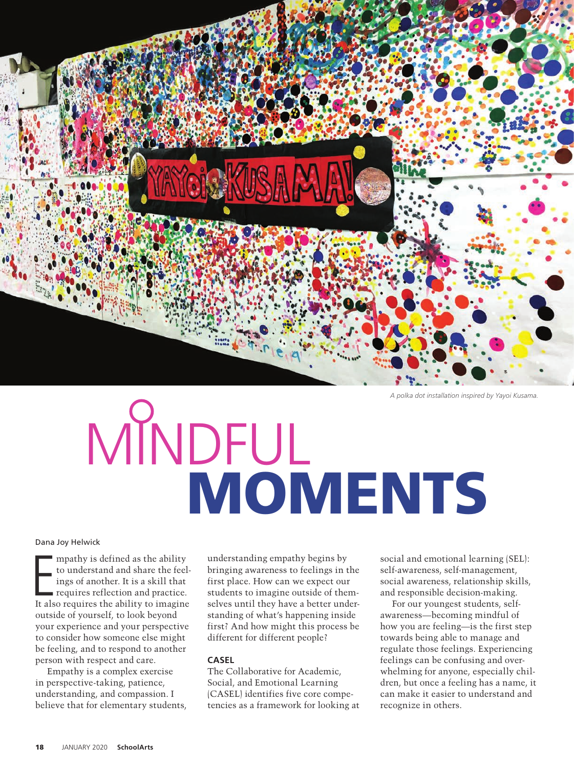

*A polka dot installation inspired by Yayoi Kusama.*

# MINDFUL MOMENTS

#### Dana Joy Helwick

mpathy is defined as the ability<br>to understand and share the feel-<br>ings of another. It is a skill that<br>requires reflection and practice.<br>It also requires the ability to imagine mpathy is defined as the ability to understand and share the feelings of another. It is a skill that requires reflection and practice. outside of yourself, to look beyond your experience and your perspective to consider how someone else might be feeling, and to respond to another person with respect and care.

Empathy is a complex exercise in perspective-taking, patience, understanding, and compassion. I believe that for elementary students, understanding empathy begins by bringing awareness to feelings in the first place. How can we expect our students to imagine outside of themselves until they have a better understanding of what's happening inside first? And how might this process be different for different people?

# **CASEL**

The Collaborative for Academic, Social, and Emotional Learning (CASEL) identifies five core competencies as a framework for looking at social and emotional learning (SEL): self-awareness, self-management, social awareness, relationship skills, and responsible decision-making.

For our youngest students, selfawareness—becoming mindful of how you are feeling—is the first step towards being able to manage and regulate those feelings. Experiencing feelings can be confusing and overwhelming for anyone, especially children, but once a feeling has a name, it can make it easier to understand and recognize in others.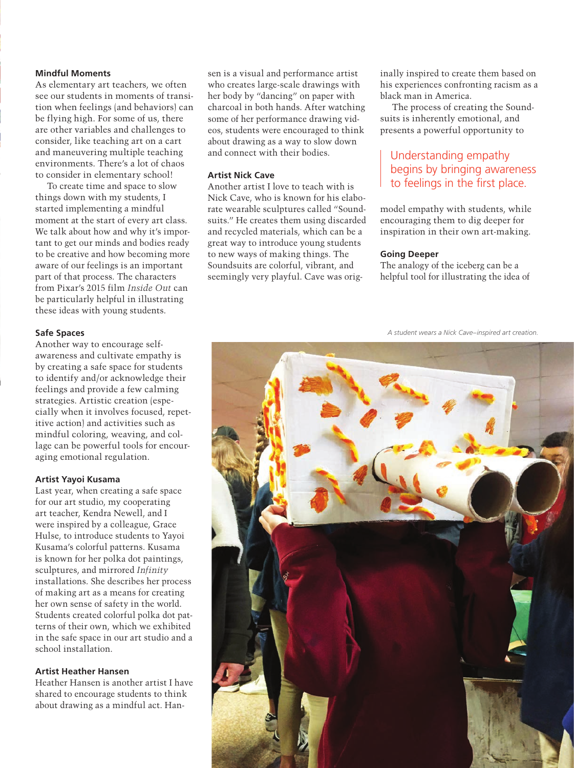# **Mindful Moments**

As elementary art teachers, we often see our students in moments of transition when feelings (and behaviors) can be flying high. For some of us, there are other variables and challenges to consider, like teaching art on a cart and maneuvering multiple teaching environments. There's a lot of chaos to consider in elementary school!

To create time and space to slow things down with my students, I started implementing a mindful moment at the start of every art class. We talk about how and why it's important to get our minds and bodies ready to be creative and how becoming more aware of our feelings is an important part of that process. The characters from Pixar's 2015 film *Inside Out* can be particularly helpful in illustrating these ideas with young students.

# **Safe Spaces**

Another way to encourage selfawareness and cultivate empathy is by creating a safe space for students to identify and/or acknowledge their feelings and provide a few calming strategies. Artistic creation (especially when it involves focused, repetitive action) and activities such as mindful coloring, weaving, and collage can be powerful tools for encouraging emotional regulation.

## **Artist Yayoi Kusama**

Last year, when creating a safe space for our art studio, my cooperating art teacher, Kendra Newell, and I were inspired by a colleague, Grace Hulse, to introduce students to Yayoi Kusama's colorful patterns. Kusama is known for her polka dot paintings, sculptures, and mirrored *Infinity* installations. She describes her process of making art as a means for creating her own sense of safety in the world. Students created colorful polka dot patterns of their own, which we exhibited in the safe space in our art studio and a school installation.

# **Artist Heather Hansen**

Heather Hansen is another artist I have shared to encourage students to think about drawing as a mindful act. Han-

sen is a visual and performance artist who creates large-scale drawings with her body by "dancing" on paper with charcoal in both hands. After watching some of her performance drawing videos, students were encouraged to think about drawing as a way to slow down and connect with their bodies.

# **Artist Nick Cave**

Another artist I love to teach with is Nick Cave, who is known for his elaborate wearable sculptures called "Soundsuits." He creates them using discarded and recycled materials, which can be a great way to introduce young students to new ways of making things. The Soundsuits are colorful, vibrant, and seemingly very playful. Cave was orig-

inally inspired to create them based on his experiences confronting racism as a black man in America.

The process of creating the Soundsuits is inherently emotional, and presents a powerful opportunity to

# Understanding empathy begins by bringing awareness to feelings in the first place.

model empathy with students, while encouraging them to dig deeper for inspiration in their own art-making.

#### **Going Deeper**

The analogy of the iceberg can be a helpful tool for illustrating the idea of

*A student wears a Nick Cave–inspired art creation.*